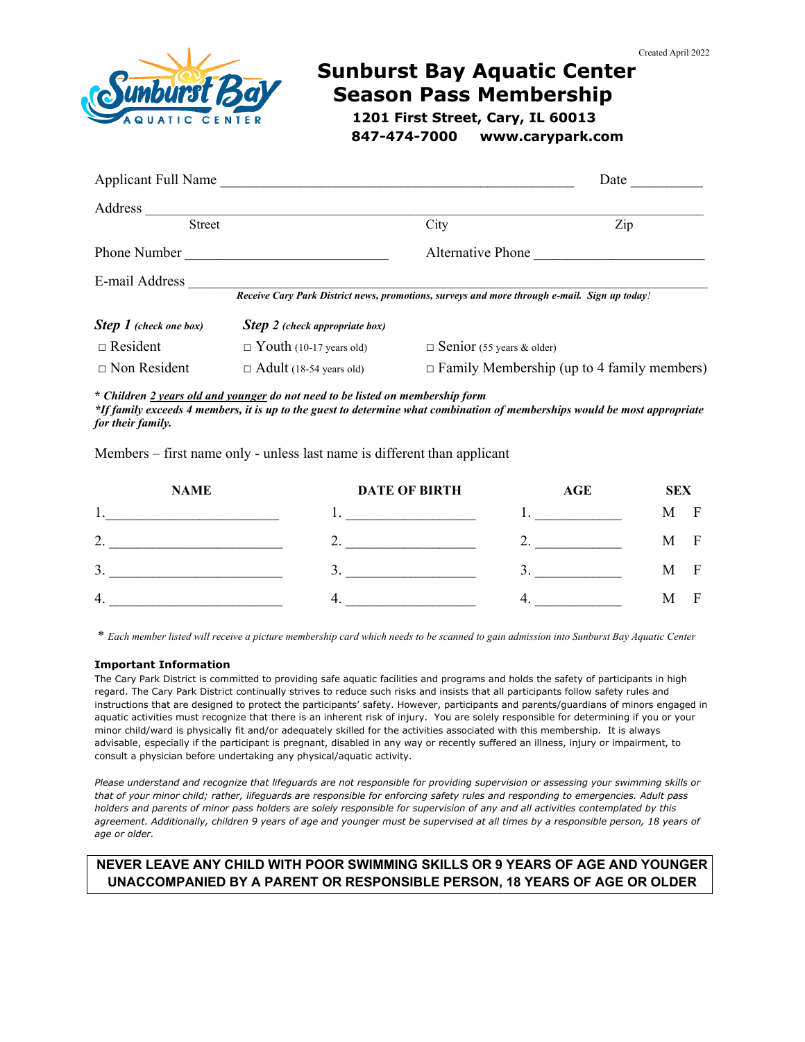

# **Sunburst Bay Aquatic Center Season Pass Membership**

 **1201 First Street, Cary, IL 60013 847-474-7000 www.carypark.com**

| <b>Applicant Full Name</b>    |                                                                                              |                                  | Date                                              |
|-------------------------------|----------------------------------------------------------------------------------------------|----------------------------------|---------------------------------------------------|
| Address                       |                                                                                              |                                  |                                                   |
| <b>Street</b>                 |                                                                                              | City                             | Zip                                               |
| Phone Number                  |                                                                                              | Alternative Phone                |                                                   |
| E-mail Address                | Receive Cary Park District news, promotions, surveys and more through e-mail. Sign up today! |                                  |                                                   |
| <b>Step 1</b> (check one box) | <b>Step 2</b> (check appropriate box)                                                        |                                  |                                                   |
| $\Box$ Resident               | $\Box$ Youth (10-17 years old)                                                               | $\Box$ Senior (55 years & older) |                                                   |
| $\Box$ Non Resident           | $\Box$ Adult (18-54 years old)                                                               |                                  | $\Box$ Family Membership (up to 4 family members) |

**\*** *Children 2 years old and younger do not need to be listed on membership form \*If family exceeds 4 members, it is up to the guest to determine what combination of memberships would be most appropriate for their family.* 

Members – first name only - unless last name is different than applicant

|                     | <b>NAME</b> | <b>DATE OF BIRTH</b> | AGE | <b>SEX</b> |             |
|---------------------|-------------|----------------------|-----|------------|-------------|
| .,                  |             |                      |     | М          | F           |
| $\mathcal{D}$<br>,. |             | ∸                    |     | М          | $\mathbf F$ |
| 3.                  |             |                      |     | M          | F           |
| 4.                  |             |                      |     | M          | F           |

\* *Each member listed will receive a picture membership card which needs to be scanned to gain admission into Sunburst Bay Aquatic Center* 

### **Important Information**

The Cary Park District is committed to providing safe aquatic facilities and programs and holds the safety of participants in high regard. The Cary Park District continually strives to reduce such risks and insists that all participants follow safety rules and instructions that are designed to protect the participants' safety. However, participants and parents/guardians of minors engaged in aquatic activities must recognize that there is an inherent risk of injury. You are solely responsible for determining if you or your minor child/ward is physically fit and/or adequately skilled for the activities associated with this membership. It is always advisable, especially if the participant is pregnant, disabled in any way or recently suffered an illness, injury or impairment, to consult a physician before undertaking any physical/aquatic activity.

*Please understand and recognize that lifeguards are not responsible for providing supervision or assessing your swimming skills or that of your minor child; rather, lifeguards are responsible for enforcing safety rules and responding to emergencies. Adult pass holders and parents of minor pass holders are solely responsible for supervision of any and all activities contemplated by this agreement. Additionally, children 9 years of age and younger must be supervised at all times by a responsible person, 18 years of age or older.* 

## **NEVER LEAVE ANY CHILD WITH POOR SWIMMING SKILLS OR 9 YEARS OF AGE AND YOUNGER UNACCOMPANIED BY A PARENT OR RESPONSIBLE PERSON, 18 YEARS OF AGE OR OLDER**